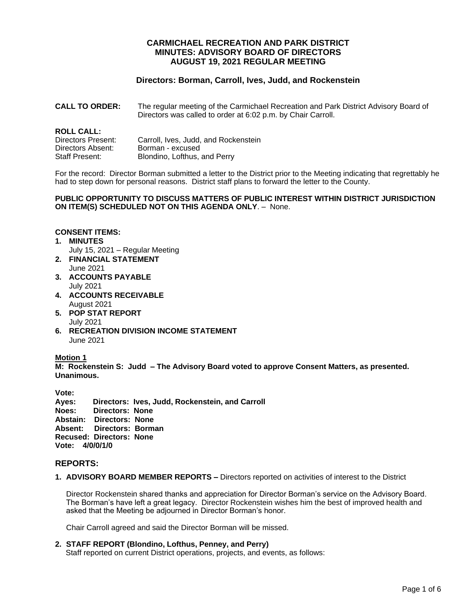# **CARMICHAEL RECREATION AND PARK DISTRICT MINUTES: ADVISORY BOARD OF DIRECTORS AUGUST 19, 2021 REGULAR MEETING**

# **Directors: Borman, Carroll, Ives, Judd, and Rockenstein**

**CALL TO ORDER:** The regular meeting of the Carmichael Recreation and Park District Advisory Board of Directors was called to order at 6:02 p.m. by Chair Carroll.

# **ROLL CALL:**

| .                  |                                      |
|--------------------|--------------------------------------|
| Directors Present: | Carroll, Ives, Judd, and Rockenstein |
| Directors Absent:  | Borman - excused                     |
| Staff Present:     | Blondino, Lofthus, and Perry         |

For the record: Director Borman submitted a letter to the District prior to the Meeting indicating that regrettably he had to step down for personal reasons. District staff plans to forward the letter to the County.

**PUBLIC OPPORTUNITY TO DISCUSS MATTERS OF PUBLIC INTEREST WITHIN DISTRICT JURISDICTION ON ITEM(S) SCHEDULED NOT ON THIS AGENDA ONLY**. – None.

#### **CONSENT ITEMS:**

- **1. MINUTES**
- July 15, 2021 Regular Meeting **2. FINANCIAL STATEMENT**
- June 2021
- **3. ACCOUNTS PAYABLE**  July 2021
- **4. ACCOUNTS RECEIVABLE** August 2021
- **5. POP STAT REPORT** July 2021
- **6. RECREATION DIVISION INCOME STATEMENT** June 2021

### **Motion 1**

**M: Rockenstein S: Judd – The Advisory Board voted to approve Consent Matters, as presented. Unanimous.**

**Vote: Ayes: Directors: Ives, Judd, Rockenstein, and Carroll Noes: Directors: None Abstain: Directors: None Absent: Directors: Borman Recused: Directors: None Vote: 4/0/0/1/0**

### **REPORTS:**

**1. ADVISORY BOARD MEMBER REPORTS –** Directors reported on activities of interest to the District

Director Rockenstein shared thanks and appreciation for Director Borman's service on the Advisory Board. The Borman's have left a great legacy. Director Rockenstein wishes him the best of improved health and asked that the Meeting be adjourned in Director Borman's honor.

Chair Carroll agreed and said the Director Borman will be missed.

**2. STAFF REPORT (Blondino, Lofthus, Penney, and Perry)** Staff reported on current District operations, projects, and events, as follows: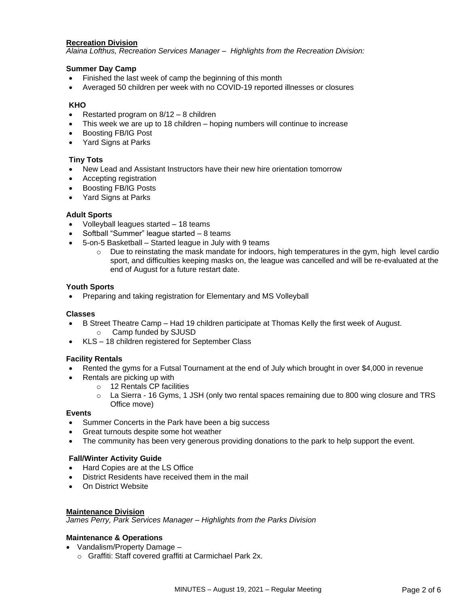### **Recreation Division**

*Alaina Lofthus, Recreation Services Manager – Highlights from the Recreation Division:*

### **Summer Day Camp**

- Finished the last week of camp the beginning of this month
- Averaged 50 children per week with no COVID-19 reported illnesses or closures

### **KHO**

- Restarted program on 8/12 8 children
- This week we are up to 18 children hoping numbers will continue to increase
- Boosting FB/IG Post
- Yard Signs at Parks

#### **Tiny Tots**

- New Lead and Assistant Instructors have their new hire orientation tomorrow
- Accepting registration
- Boosting FB/IG Posts
- Yard Signs at Parks

#### **Adult Sports**

- Volleyball leagues started 18 teams
- Softball "Summer" league started 8 teams
- 5-on-5 Basketball Started league in July with 9 teams
	- o Due to reinstating the mask mandate for indoors, high temperatures in the gym, high level cardio sport, and difficulties keeping masks on, the league was cancelled and will be re-evaluated at the end of August for a future restart date.

#### **Youth Sports**

• Preparing and taking registration for Elementary and MS Volleyball

#### **Classes**

- B Street Theatre Camp Had 19 children participate at Thomas Kelly the first week of August.
	- o Camp funded by SJUSD
- KLS 18 children registered for September Class

### **Facility Rentals**

- Rented the gyms for a Futsal Tournament at the end of July which brought in over \$4,000 in revenue
- Rentals are picking up with
	- o 12 Rentals CP facilities
	- $\circ$  La Sierra 16 Gyms, 1 JSH (only two rental spaces remaining due to 800 wing closure and TRS Office move)

#### **Events**

- Summer Concerts in the Park have been a big success
- Great turnouts despite some hot weather
- The community has been very generous providing donations to the park to help support the event.

#### **Fall/Winter Activity Guide**

- Hard Copies are at the LS Office
- District Residents have received them in the mail
- On District Website

### **Maintenance Division**

*James Perry, Park Services Manager – Highlights from the Parks Division*

### **Maintenance & Operations**

- Vandalism/Property Damage
	- o Graffiti: Staff covered graffiti at Carmichael Park 2x.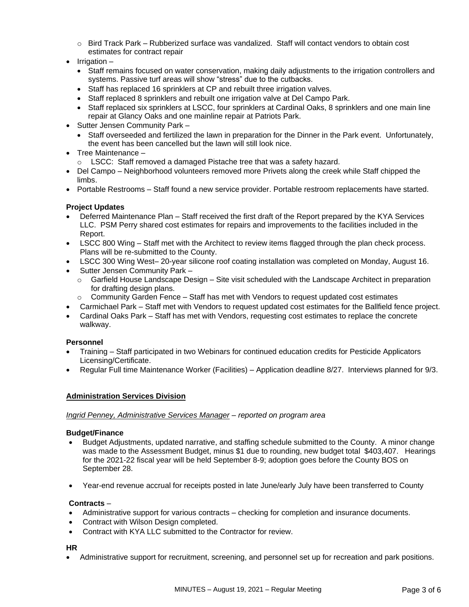- o Bird Track Park Rubberized surface was vandalized. Staff will contact vendors to obtain cost estimates for contract repair
- Irrigation
	- Staff remains focused on water conservation, making daily adjustments to the irrigation controllers and systems. Passive turf areas will show "stress" due to the cutbacks.
	- Staff has replaced 16 sprinklers at CP and rebuilt three irrigation valves.
	- Staff replaced 8 sprinklers and rebuilt one irrigation valve at Del Campo Park.
	- Staff replaced six sprinklers at LSCC, four sprinklers at Cardinal Oaks, 8 sprinklers and one main line repair at Glancy Oaks and one mainline repair at Patriots Park.
- Sutter Jensen Community Park
	- Staff overseeded and fertilized the lawn in preparation for the Dinner in the Park event. Unfortunately, the event has been cancelled but the lawn will still look nice.
- Tree Maintenance
	- o LSCC: Staff removed a damaged Pistache tree that was a safety hazard.
- Del Campo Neighborhood volunteers removed more Privets along the creek while Staff chipped the limbs.
- Portable Restrooms Staff found a new service provider. Portable restroom replacements have started.

# **Project Updates**

- Deferred Maintenance Plan Staff received the first draft of the Report prepared by the KYA Services LLC. PSM Perry shared cost estimates for repairs and improvements to the facilities included in the Report.
- LSCC 800 Wing Staff met with the Architect to review items flagged through the plan check process. Plans will be re-submitted to the County.
- LSCC 300 Wing West– 20-year silicone roof coating installation was completed on Monday, August 16.
- Sutter Jensen Community Park
	- $\circ$  Garfield House Landscape Design Site visit scheduled with the Landscape Architect in preparation for drafting design plans.
	- $\circ$  Community Garden Fence Staff has met with Vendors to request updated cost estimates
- Carmichael Park Staff met with Vendors to request updated cost estimates for the Ballfield fence project.
- Cardinal Oaks Park Staff has met with Vendors, requesting cost estimates to replace the concrete walkway.

# **Personnel**

- Training Staff participated in two Webinars for continued education credits for Pesticide Applicators Licensing/Certificate.
- Regular Full time Maintenance Worker (Facilities) Application deadline 8/27. Interviews planned for 9/3.

# **Administration Services Division**

### *Ingrid Penney, Administrative Services Manager – reported on program area*

### **Budget/Finance**

- Budget Adjustments, updated narrative, and staffing schedule submitted to the County. A minor change was made to the Assessment Budget, minus \$1 due to rounding, new budget total \$403,407. Hearings for the 2021-22 fiscal year will be held September 8-9; adoption goes before the County BOS on September 28.
- Year-end revenue accrual for receipts posted in late June/early July have been transferred to County

# **Contracts** –

- Administrative support for various contracts checking for completion and insurance documents.
- Contract with Wilson Design completed.
- Contract with KYA LLC submitted to the Contractor for review.

### **HR**

• Administrative support for recruitment, screening, and personnel set up for recreation and park positions.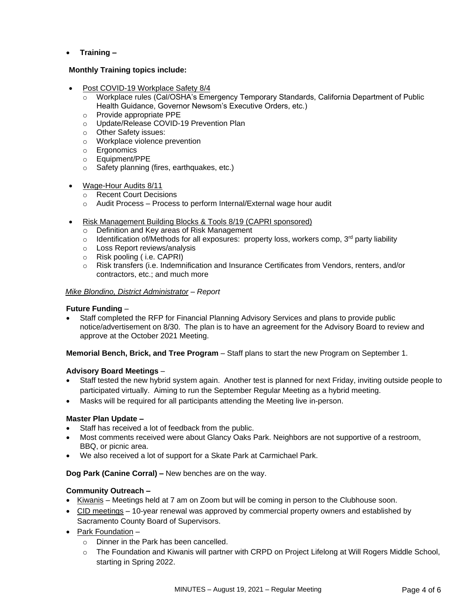# • **Training –**

### **Monthly Training topics include:**

- Post COVID-19 Workplace Safety 8/4
	- o Workplace rules (Cal/OSHA's Emergency Temporary Standards, California Department of Public Health Guidance, Governor Newsom's Executive Orders, etc.)
	- o Provide appropriate PPE
	- o Update/Release COVID-19 Prevention Plan
	- o Other Safety issues:
	- o Workplace violence prevention
	- o Ergonomics
	- o Equipment/PPE
	- o Safety planning (fires, earthquakes, etc.)
- Wage-Hour Audits 8/11
	- o Recent Court Decisions
	- o Audit Process Process to perform Internal/External wage hour audit
- Risk Management Building Blocks & Tools 8/19 (CAPRI sponsored)
	- o Definition and Key areas of Risk Management
	- $\circ$  Identification of/Methods for all exposures: property loss, workers comp, 3<sup>rd</sup> party liability
	- o Loss Report reviews/analysis
	- o Risk pooling ( i.e. CAPRI)
	- o Risk transfers (i.e. Indemnification and Insurance Certificates from Vendors, renters, and/or contractors, etc.; and much more

### *Mike Blondino, District Administrator – Report*

### **Future Funding** –

• Staff completed the RFP for Financial Planning Advisory Services and plans to provide public notice/advertisement on 8/30. The plan is to have an agreement for the Advisory Board to review and approve at the October 2021 Meeting.

**Memorial Bench, Brick, and Tree Program** – Staff plans to start the new Program on September 1.

# **Advisory Board Meetings** –

- Staff tested the new hybrid system again. Another test is planned for next Friday, inviting outside people to participated virtually. Aiming to run the September Regular Meeting as a hybrid meeting.
- Masks will be required for all participants attending the Meeting live in-person.

### **Master Plan Update –**

- Staff has received a lot of feedback from the public.
- Most comments received were about Glancy Oaks Park. Neighbors are not supportive of a restroom, BBQ, or picnic area.
- We also received a lot of support for a Skate Park at Carmichael Park.

### **Dog Park (Canine Corral) –** New benches are on the way.

# **Community Outreach –**

- Kiwanis Meetings held at 7 am on Zoom but will be coming in person to the Clubhouse soon.
- CID meetings 10-year renewal was approved by commercial property owners and established by Sacramento County Board of Supervisors.
- Park Foundation
	- o Dinner in the Park has been cancelled.
	- o The Foundation and Kiwanis will partner with CRPD on Project Lifelong at Will Rogers Middle School, starting in Spring 2022.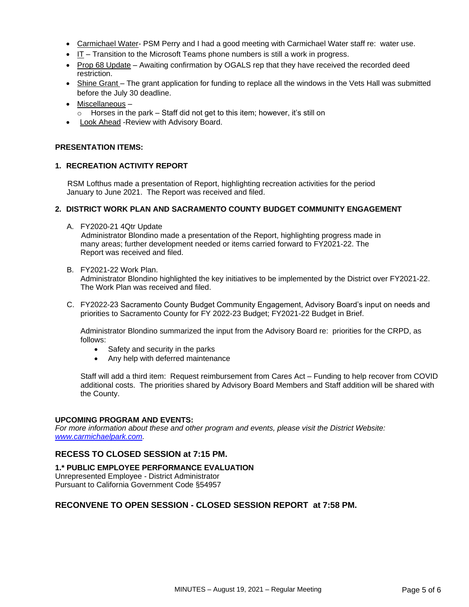- Carmichael Water- PSM Perry and I had a good meeting with Carmichael Water staff re: water use.
- IT Transition to the Microsoft Teams phone numbers is still a work in progress.
- Prop 68 Update Awaiting confirmation by OGALS rep that they have received the recorded deed restriction.
- Shine Grant The grant application for funding to replace all the windows in the Vets Hall was submitted before the July 30 deadline.
- Miscellaneous
	- $\circ$  Horses in the park Staff did not get to this item; however, it's still on
- Look Ahead -Review with Advisory Board.

### **PRESENTATION ITEMS:**

### **1. RECREATION ACTIVITY REPORT**

RSM Lofthus made a presentation of Report, highlighting recreation activities for the period January to June 2021. The Report was received and filed.

### **2. DISTRICT WORK PLAN AND SACRAMENTO COUNTY BUDGET COMMUNITY ENGAGEMENT**

A. FY2020-21 4Qtr Update

Administrator Blondino made a presentation of the Report, highlighting progress made in many areas; further development needed or items carried forward to FY2021-22. The Report was received and filed.

B. FY2021-22 Work Plan.

Administrator Blondino highlighted the key initiatives to be implemented by the District over FY2021-22. The Work Plan was received and filed.

C. FY2022-23 Sacramento County Budget Community Engagement, Advisory Board's input on needs and priorities to Sacramento County for FY 2022-23 Budget; FY2021-22 Budget in Brief.

Administrator Blondino summarized the input from the Advisory Board re: priorities for the CRPD, as follows:

- Safety and security in the parks
- Any help with deferred maintenance

Staff will add a third item: Request reimbursement from Cares Act – Funding to help recover from COVID additional costs. The priorities shared by Advisory Board Members and Staff addition will be shared with the County.

### **UPCOMING PROGRAM AND EVENTS:**

*For more information about these and other program and events, please visit the District Website: [www.carmichaelpark.com.](http://www.carmichaelpark.com/)*

# **RECESS TO CLOSED SESSION at 7:15 PM.**

### **1.\* PUBLIC EMPLOYEE PERFORMANCE EVALUATION**

Unrepresented Employee - District Administrator Pursuant to California Government Code §54957

# **RECONVENE TO OPEN SESSION - CLOSED SESSION REPORT at 7:58 PM.**